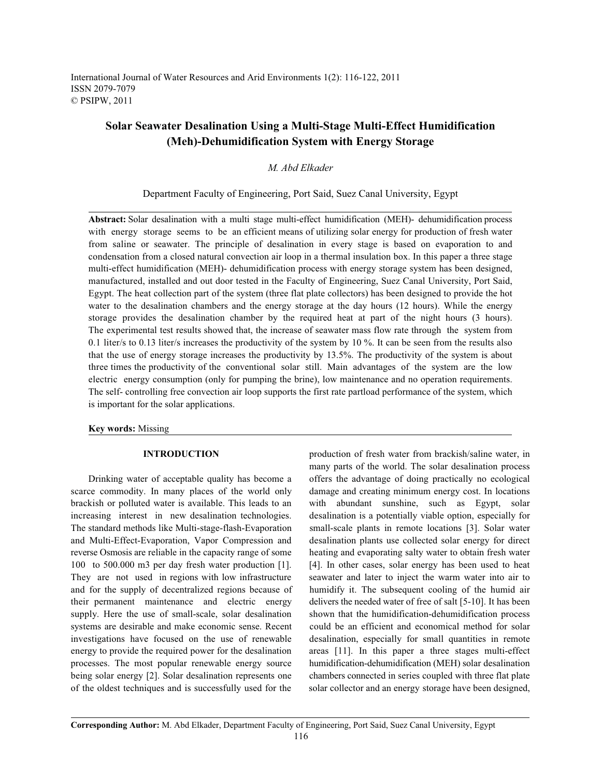International Journal of Water Resources and Arid Environments 1(2): 116-122, 2011 ISSN 2079-7079 © PSIPW, 2011

# **Solar Seawater Desalination Using a Multi-Stage Multi-Effect Humidification (Meh)-Dehumidification System with Energy Storage**

## *M. Abd Elkader*

### Department Faculty of Engineering, Port Said, Suez Canal University, Egypt

**Abstract:** Solar desalination with a multi stage multi-effect humidification (MEH)- dehumidification process with energy storage seems to be an efficient means of utilizing solar energy for production of fresh water from saline or seawater. The principle of desalination in every stage is based on evaporation to and condensation from a closed natural convection air loop in a thermal insulation box. In this paper a three stage multi-effect humidification (MEH)- dehumidification process with energy storage system has been designed, manufactured, installed and out door tested in the Faculty of Engineering, Suez Canal University, Port Said, Egypt. The heat collection part of the system (three flat plate collectors) has been designed to provide the hot water to the desalination chambers and the energy storage at the day hours (12 hours). While the energy storage provides the desalination chamber by the required heat at part of the night hours (3 hours). The experimental test results showed that, the increase of seawater mass flow rate through the system from 0.1 liter/s to 0.13 liter/s increases the productivity of the system by 10 %. It can be seen from the results also that the use of energy storage increases the productivity by 13.5%. The productivity of the system is about three times the productivity of the conventional solar still. Main advantages of the system are the low electric energy consumption (only for pumping the brine), low maintenance and no operation requirements. The self- controlling free convection air loop supports the first rate partload performance of the system, which is important for the solar applications.

### **Key words:** Missing

scarce commodity. In many places of the world only damage and creating minimum energy cost. In locations brackish or polluted water is available. This leads to an with abundant sunshine, such as Egypt, solar increasing interest in new desalination technologies. desalination is a potentially viable option, especially for The standard methods like Multi-stage-flash-Evaporation small-scale plants in remote locations [3]. Solar water and Multi-Effect-Evaporation, Vapor Compression and desalination plants use collected solar energy for direct reverse Osmosis are reliable in the capacity range of some heating and evaporating salty water to obtain fresh water 100 to 500.000 m3 per day fresh water production [1]. [4]. In other cases, solar energy has been used to heat They are not used in regions with low infrastructure seawater and later to inject the warm water into air to and for the supply of decentralized regions because of humidify it. The subsequent cooling of the humid air their permanent maintenance and electric energy delivers the needed water of free of salt [5-10]. It has been supply. Here the use of small-scale, solar desalination shown that the humidification-dehumidification process systems are desirable and make economic sense. Recent could be an efficient and economical method for solar investigations have focused on the use of renewable desalination, especially for small quantities in remote energy to provide the required power for the desalination areas [11]. In this paper a three stages multi-effect processes. The most popular renewable energy source humidification-dehumidification (MEH) solar desalination being solar energy [2]. Solar desalination represents one chambers connected in series coupled with three flat plate of the oldest techniques and is successfully used for the solar collector and an energy storage have been designed,

**INTRODUCTION** production of fresh water from brackish/saline water, in Drinking water of acceptable quality has become a offers the advantage of doing practically no ecological many parts of the world. The solar desalination process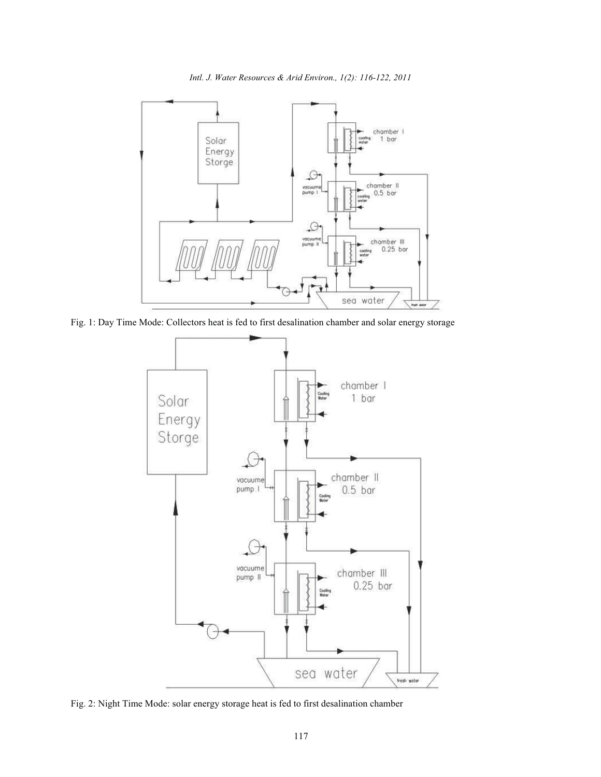*Intl. J. Water Resources & Arid Environ., 1(2): 116-122, 2011*



Fig. 1: Day Time Mode: Collectors heat is fed to first desalination chamber and solar energy storage



Fig. 2: Night Time Mode: solar energy storage heat is fed to first desalination chamber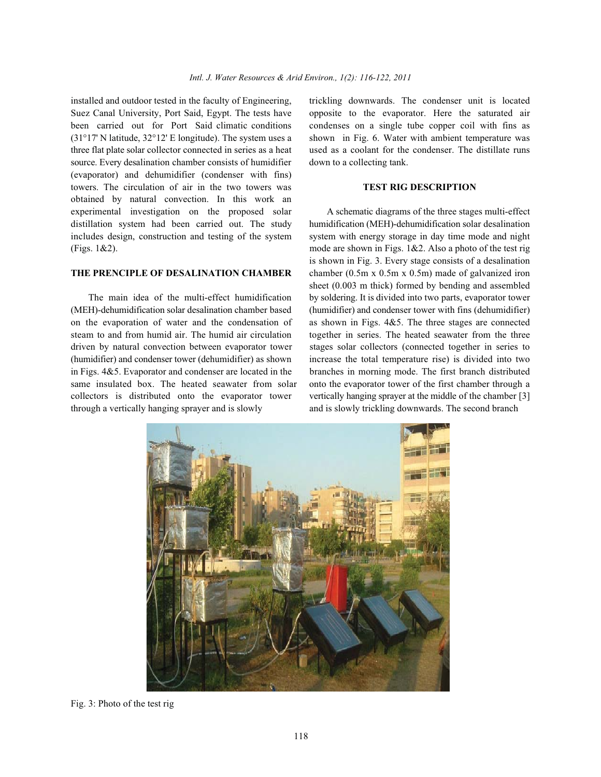Suez Canal University, Port Said, Egypt. The tests have opposite to the evaporator. Here the saturated air been carried out for Port Said climatic conditions condenses on a single tube copper coil with fins as (31°17' N latitude, 32°12' E longitude). The system uses a shown in Fig. 6. Water with ambient temperature was three flat plate solar collector connected in series as a heat used as a coolant for the condenser. The distillate runs source. Every desalination chamber consists of humidifier down to a collecting tank. (evaporator) and dehumidifier (condenser with fins) towers. The circulation of air in the two towers was **TEST RIG DESCRIPTION** obtained by natural convection. In this work an experimental investigation on the proposed solar A schematic diagrams of the three stages multi-effect distillation system had been carried out. The study humidification (MEH)-dehumidification solar desalination includes design, construction and testing of the system system with energy storage in day time mode and night (Figs. 1&2). mode are shown in Figs. 1&2. Also a photo of the test rig

(MEH)-dehumidification solar desalination chamber based (humidifier) and condenser tower with fins (dehumidifier) on the evaporation of water and the condensation of as shown in Figs. 4&5. The three stages are connected steam to and from humid air. The humid air circulation together in series. The heated seawater from the three driven by natural convection between evaporator tower stages solar collectors (connected together in series to (humidifier) and condenser tower (dehumidifier) as shown increase the total temperature rise) is divided into two in Figs. 4&5. Evaporator and condenser are located in the branches in morning mode. The first branch distributed same insulated box. The heated seawater from solar onto the evaporator tower of the first chamber through a collectors is distributed onto the evaporator tower vertically hanging sprayer at the middle of the chamber [3] through a vertically hanging sprayer and is slowly and is slowly trickling downwards. The second branch

installed and outdoor tested in the faculty of Engineering, trickling downwards. The condenser unit is located

**THE PRENCIPLE OF DESALINATION CHAMBER** chamber (0.5m x 0.5m x 0.5m) made of galvanized iron The main idea of the multi-effect humidification by soldering. It is divided into two parts, evaporator tower is shown in Fig. 3. Every stage consists of a desalination sheet (0.003 m thick) formed by bending and assembled



Fig. 3: Photo of the test rig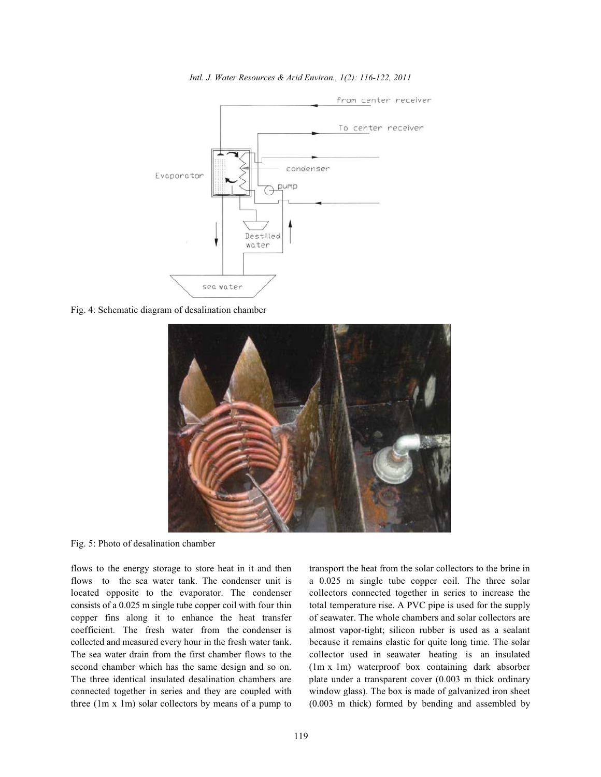

*Intl. J. Water Resources & Arid Environ., 1(2): 116-122, 2011*

Fig. 4: Schematic diagram of desalination chamber



Fig. 5: Photo of desalination chamber

flows to the sea water tank. The condenser unit is a 0.025 m single tube copper coil. The three solar located opposite to the evaporator. The condenser collectors connected together in series to increase the consists of a 0.025 m single tube copper coil with four thin total temperature rise. A PVC pipe is used for the supply copper fins along it to enhance the heat transfer of seawater. The whole chambers and solar collectors are coefficient. The fresh water from the condenser is almost vapor-tight; silicon rubber is used as a sealant collected and measured every hour in the fresh water tank. because it remains elastic for quite long time. The solar The sea water drain from the first chamber flows to the collector used in seawater heating is an insulated second chamber which has the same design and so on. (1m x 1m) waterproof box containing dark absorber The three identical insulated desalination chambers are plate under a transparent cover (0.003 m thick ordinary connected together in series and they are coupled with window glass). The box is made of galvanized iron sheet three (1m x 1m) solar collectors by means of a pump to (0.003 m thick) formed by bending and assembled by

flows to the energy storage to store heat in it and then transport the heat from the solar collectors to the brine in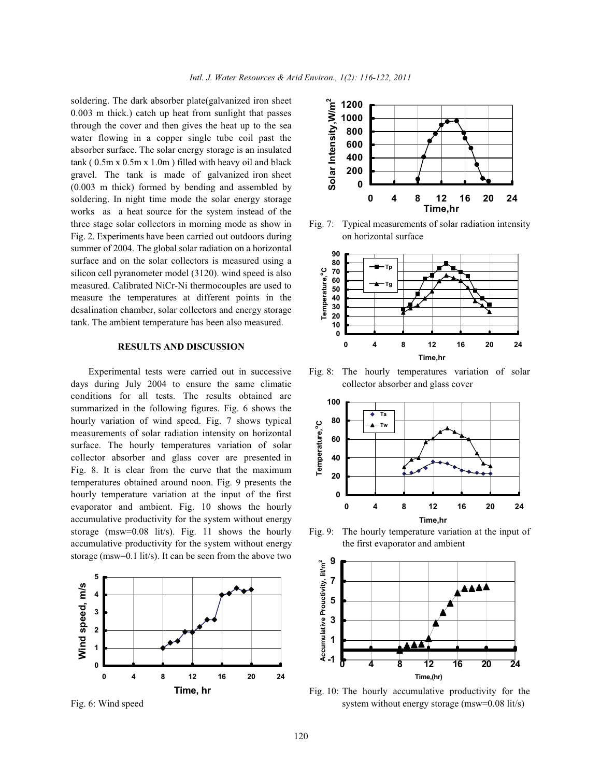soldering. The dark absorber plate(galvanized iron sheet 0.003 m thick.) catch up heat from sunlight that passes through the cover and then gives the heat up to the sea water flowing in a copper single tube coil past the absorber surface. The solar energy storage is an insulated tank ( 0.5m x 0.5m x 1.0m ) filled with heavy oil and black gravel. The tank is made of galvanized iron sheet (0.003 m thick) formed by bending and assembled by soldering. In night time mode the solar energy storage works as a heat source for the system instead of the three stage solar collectors in morning mode as show in Fig. 7: Typical measurements of solar radiation intensity Fig. 2. Experiments have been carried out outdoors during on horizontal surface summer of 2004. The global solar radiation on a horizontal surface and on the solar collectors is measured using a silicon cell pyranometer model (3120). wind speed is also measured. Calibrated NiCr-Ni thermocouples are used to measure the temperatures at different points in the desalination chamber, solar collectors and energy storage tank. The ambient temperature has been also measured.

### **RESULTS AND DISCUSSION**

days during July 2004 to ensure the same climatic collector absorber and glass cover conditions for all tests. The results obtained are summarized in the following figures. Fig. 6 shows the hourly variation of wind speed. Fig. 7 shows typical measurements of solar radiation intensity on horizontal surface. The hourly temperatures variation of solar collector absorber and glass cover are presented in Fig. 8. It is clear from the curve that the maximum temperatures obtained around noon. Fig. 9 presents the hourly temperature variation at the input of the first evaporator and ambient. Fig. 10 shows the hourly accumulative productivity for the system without energy storage (msw=0.08 lit/s). Fig. 11 shows the hourly Fig. 9: The hourly temperature variation at the input of accumulative productivity for the system without energy the first evaporator and ambient storage (msw=0.1 lit/s). It can be seen from the above two







Experimental tests were carried out in successive Fig. 8: The hourly temperatures variation of solar





Fig. 6: Wind speed system without energy storage (msw=0.08 lit/s) Fig. 10: The hourly accumulative productivity for the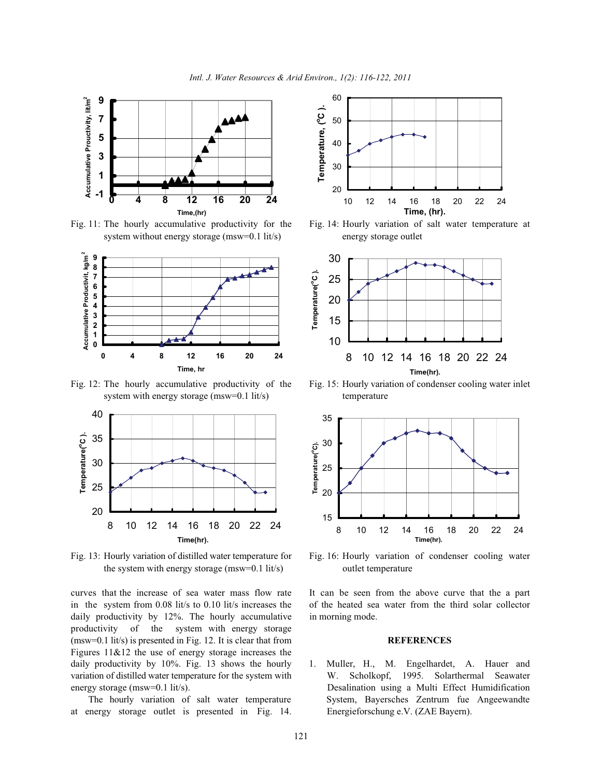

Fig. 11: The hourly accumulative productivity for the Fig. 14: Hourly variation of salt water temperature at system without energy storage (msw=0.1 lit/s) energy storage outlet



Fig. 12: The hourly accumulative productivity of the Fig. 15: Hourly variation of condenser cooling water inlet system with energy storage (msw=0.1 lit/s) temperature



Fig. 13: Hourly variation of distilled water temperature for Fig. 16: Hourly variation of condenser cooling water the system with energy storage (msw=0.1 lit/s) outlet temperature

in the system from 0.08 lit/s to 0.10 lit/s increases the of the heated sea water from the third solar collector daily productivity by 12%. The hourly accumulative in morning mode. productivity of the system with energy storage (msw=0.1 lit/s) is presented in Fig. 12. It is clear that from **REFERENCES** Figures  $11\&12$  the use of energy storage increases the daily productivity by 10%. Fig. 13 shows the hourly 1. Muller, H., M. Engelhardet, A. Hauer and

at energy storage outlet is presented in Fig. 14. Energieforschung e.V. (ZAE Bayern).







curves that the increase of sea water mass flow rate It can be seen from the above curve that the a part

variation of distilled water temperature for the system with W. Scholkopf, 1995. Solarthermal Seawater energy storage (msw=0.1 lit/s). Desalination using a Multi Effect Humidification The hourly variation of salt water temperature System, Bayersches Zentrum fue Angeewandte